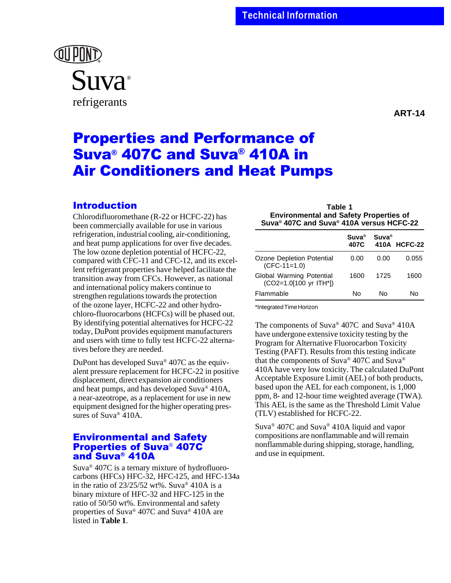

**ART-14**

# Properties and Performance of Suva® 407C and Suva® 410A in Air Conditioners and Heat Pumps

## Introduction

Chlorodifluoromethane (R-22 or HCFC-22) has been commercially available for use in various refrigeration, industrial cooling, air-conditioning, and heat pump applications for over five decades. The low ozone depletion potential of HCFC-22, compared with CFC-11 and CFC-12, and its excellent refrigerant properties have helped facilitate the transition away from CFCs. However, as national and international policy makers continue to strengthen regulations towards the protection of the ozone layer, HCFC-22 and other hydrochloro-fluorocarbons (HCFCs) will be phased out. By identifying potential alternatives for HCFC-22 today, DuPont provides equipment manufacturers and users with time to fully test HCFC-22 alternatives before they are needed.

DuPont has developed Suva® 407C as the equivalent pressure replacement for HCFC-22 in positive displacement, direct expansion air conditioners and heat pumps, and has developed Suva® 410A, a near-azeotrope, as a replacement for use in new equipment designed for the higher operating pressures of Suva<sup>®</sup> 410A.

## Environmental and Safety Properties of Suva® 407C and Suva® 410A

Suva® 407C is a ternary mixture of hydrofluorocarbons (HFCs) HFC-32, HFC-125, and HFC-134a in the ratio of  $23/25/52$  wt%. Suva<sup>®</sup> 410A is a binary mixture of HFC-32 and HFC-125 in the ratio of 50/50 wt%. Environmental and safety properties of Suva® 407C and Suva® 410A are listed in **Table 1**.

**Table 1 Environmental and Safety Properties of Suva® 407C and Suva® 410A versus HCFC-22**

|                                                    | $Suva^{\circledR}$<br>407C | $Suva^{\circledR}$ | 410A HCFC-22 |
|----------------------------------------------------|----------------------------|--------------------|--------------|
| Ozone Depletion Potential<br>$(CFC-11=1.0)$        | 0.00                       | 0.00               | 0.055        |
| Global Warming Potential<br>(CO2=1.0[100 yr ITH*]) | 1600                       | 1725               | 1600         |
| Flammable                                          | N٥                         | N٥                 | N٥           |

\*Integrated Time Horizon

The components of Suva® 407C and Suva® 410A have undergone extensive toxicity testing by the Program for Alternative Fluorocarbon Toxicity Testing (PAFT). Results from this testing indicate that the components of Suva® 407C and Suva® 410A have very low toxicity. The calculated DuPont Acceptable Exposure Limit (AEL) of both products, based upon the AEL for each component, is 1,000 ppm, 8- and 12-hour time weighted average (TWA). This AEL is the same as the Threshold Limit Value (TLV) established for HCFC-22.

Suva® 407C and Suva® 410A liquid and vapor compositions are nonflammable and will remain nonflammable during shipping, storage, handling, and use in equipment.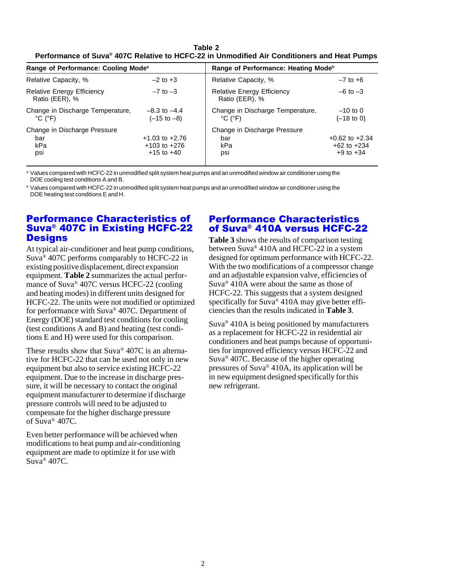**Table 2 Performance of Suva® 407C Relative to HCFC-22 in Unmodified Air Conditioners and Heat Pumps**

| Range of Performance: Cooling Mode <sup>a</sup>                                                               |                                            | Range of Performance: Heating Mode <sup>b</sup>                                                             |                                     |
|---------------------------------------------------------------------------------------------------------------|--------------------------------------------|-------------------------------------------------------------------------------------------------------------|-------------------------------------|
| Relative Capacity, %                                                                                          | $-2$ to $+3$                               | Relative Capacity, %                                                                                        | $-7$ to $+6$                        |
| <b>Relative Energy Efficiency</b><br>Ratio (EER), %                                                           | $-7$ to $-3$                               | <b>Relative Energy Efficiency</b><br>$-6$ to $-3$<br>Ratio (EER), %                                         |                                     |
| Change in Discharge Temperature,<br>$^{\circ}$ C ( $^{\circ}$ F)                                              | $-8.3$ to $-4.4$<br>$(-15 \text{ to } -8)$ | Change in Discharge Temperature,<br>$^{\circ}$ C ( $^{\circ}$ F)                                            | $-10$ to 0<br>$(-18 \text{ to } 0)$ |
| Change in Discharge Pressure<br>$+1.03$ to $+2.76$<br>bar<br>kPa<br>$+103$ to $+276$<br>$+15$ to $+40$<br>psi |                                            | Change in Discharge Pressure<br>$+0.62$ to $+2.34$<br>bar<br>kPa<br>$+62$ to $+234$<br>$+9$ to $+34$<br>psi |                                     |

<sup>a</sup> Values compared with HCFC-22 in unmodified split system heat pumps and an unmodified window air conditioner using the DOE cooling test conditions A and B.

**b Values compared with HCFC-22 in unmodified split system heat pumps and an unmodified window air conditioner using the** DOE heating test conditions E and H.

## Performance Characteristics of Suva® 407C in Existing HCFC-22 **Designs**

At typical air-conditioner and heat pump conditions, Suva® 407C performs comparably to HCFC-22 in existing positive displacement, direct expansion equipment. **Table 2** summarizes the actual performance of Suva® 407C versus HCFC-22 (cooling and heating modes) in different units designed for HCFC-22. The units were not modified or optimized for performance with Suva® 407C. Department of Energy (DOE) standard test conditions for cooling (test conditions A and B) and heating (test conditions E and H) were used for this comparison.

These results show that Suva® 407C is an alternative for HCFC-22 that can be used not only in new equipment but also to service existing HCFC-22 equipment. Due to the increase in discharge pressure, it will be necessary to contact the original equipment manufacturer to determine if discharge pressure controls will need to be adjusted to compensate for the higher discharge pressure of Suva® 407C.

Even better performance will be achieved when modifications to heat pump and air-conditioning equipment are made to optimize it for use with  $Suv^{\alpha}$  407C.

#### Performance Characteristics of Suva® 410A versus HCFC-22

**Table 3** shows the results of comparison testing between Suva® 410A and HCFC-22 in a system designed for optimum performance with HCFC-22. With the two modifications of a compressor change and an adjustable expansion valve, efficiencies of Suva® 410A were about the same as those of HCFC-22. This suggests that a system designed specifically for Suva<sup>®</sup> 410A may give better efficiencies than the results indicated in **Table 3**.

Suva® 410A is being positioned by manufacturers as a replacement for HCFC-22 in residential air conditioners and heat pumps because of opportunities for improved efficiency versus HCFC-22 and Suva® 407C. Because of the higher operating pressures of Suva® 410A, its application will be in new equipment designed specifically for this new refrigerant.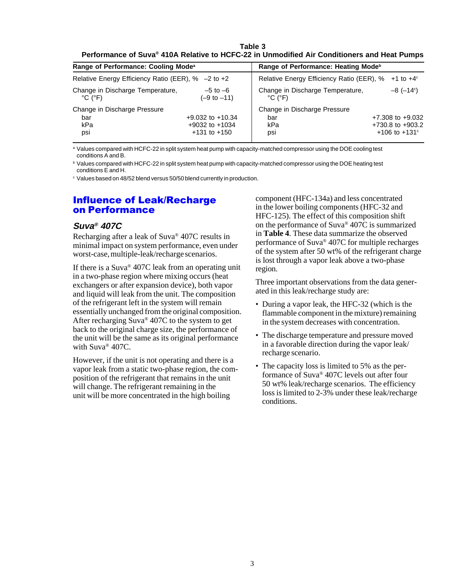**Table 3 Performance of Suva® 410A Relative to HCFC-22 in Unmodified Air Conditioners and Heat Pumps**

| Range of Performance: Cooling Mode <sup>a</sup><br>Relative Energy Efficiency Ratio (EER), % -2 to +2 |                                        | Range of Performance: Heating Mode <sup>b</sup><br>Relative Energy Efficiency Ratio (EER), %<br>$+1$ to $+4^{\circ}$ |                                                   |  |
|-------------------------------------------------------------------------------------------------------|----------------------------------------|----------------------------------------------------------------------------------------------------------------------|---------------------------------------------------|--|
|                                                                                                       |                                        |                                                                                                                      |                                                   |  |
| Change in Discharge Pressure                                                                          |                                        | Change in Discharge Pressure                                                                                         |                                                   |  |
| bar                                                                                                   | $+9.032$ to $+10.34$                   | bar                                                                                                                  | $+7.308$ to $+9.032$                              |  |
| kPa<br>psi                                                                                            | $+9032$ to $+1034$<br>$+131$ to $+150$ | kPa<br>psi                                                                                                           | $+730.8$ to $+903.2$<br>+106 to +131 <sup>c</sup> |  |

a Values compared with HCFC-22 in split system heat pump with capacity-matched compressor using the DOE cooling test conditions A and B.

<sup>b</sup> Values compared with HCFC-22 in split system heat pump with capacity-matched compressor using the DOE heating test conditions E and H.

<sup>c</sup> Values based on 48/52 blend versus 50/50 blend currently in production.

#### Influence of Leak/Recharge on Performance

#### **Suva® 407C**

Recharging after a leak of Suva® 407C results in minimal impact on system performance, even under worst-case, multiple-leak/recharge scenarios.

If there is a Suva® 407C leak from an operating unit in a two-phase region where mixing occurs (heat exchangers or after expansion device), both vapor and liquid will leak from the unit. The composition of the refrigerant left in the system will remain essentially unchanged from the original composition. After recharging Suva® 407C to the system to get back to the original charge size, the performance of the unit will be the same as its original performance with Suva® 407C.

However, if the unit is not operating and there is a vapor leak from a static two-phase region, the composition of the refrigerant that remains in the unit will change. The refrigerant remaining in the unit will be more concentrated in the high boiling

component (HFC-134a) and less concentrated in the lower boiling components (HFC-32 and HFC-125). The effect of this composition shift on the performance of Suva<sup>®</sup> 407 $\overline{C}$  is summarized in **Table 4**. These data summarize the observed performance of Suva® 407C for multiple recharges of the system after 50 wt% of the refrigerant charge is lost through a vapor leak above a two-phase region.

Three important observations from the data generated in this leak/recharge study are:

- During a vapor leak, the HFC-32 (which is the flammable component in the mixture) remaining in the system decreases with concentration.
- The discharge temperature and pressure moved in a favorable direction during the vapor leak/ recharge scenario.
- The capacity loss is limited to 5% as the performance of Suva® 407C levels out after four 50 wt% leak/recharge scenarios. The efficiency loss is limited to 2-3% under these leak/recharge conditions.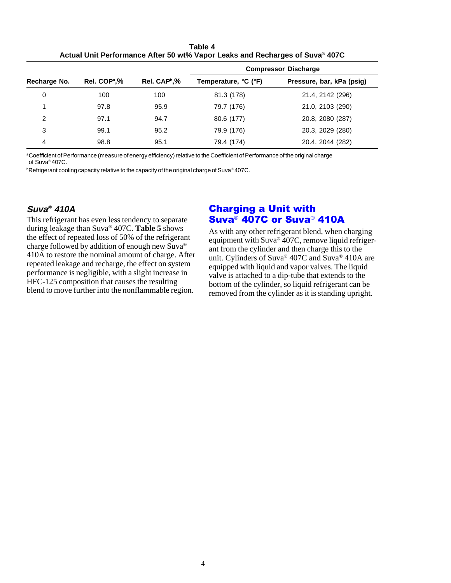**Table 4 Actual Unit Performance After 50 wt% Vapor Leaks and Recharges of Suva® 407C**

|              |                          |                          | <b>Compressor Discharge</b> |                           |  |
|--------------|--------------------------|--------------------------|-----------------------------|---------------------------|--|
| Recharge No. | Rel. COP <sup>a</sup> ,% | Rel. CAP <sup>b</sup> ,% | Temperature, °C (°F)        | Pressure, bar, kPa (psig) |  |
| 0            | 100                      | 100                      | 81.3 (178)                  | 21.4, 2142 (296)          |  |
|              | 97.8                     | 95.9                     | 79.7 (176)                  | 21.0, 2103 (290)          |  |
| 2            | 97.1                     | 94.7                     | 80.6 (177)                  | 20.8, 2080 (287)          |  |
| 3            | 99.1                     | 95.2                     | 79.9 (176)                  | 20.3, 2029 (280)          |  |
| 4            | 98.8                     | 95.1                     | 79.4 (174)                  | 20.4, 2044 (282)          |  |

aCoefficient of Performance (measure of energy efficiency) relative to the Coefficient of Performance of the original charge of Suva® 407C.

 $^{\rm b}$ Refrigerant cooling capacity relative to the capacity of the original charge of Suva® 407C.

#### **Suva® 410A**

This refrigerant has even less tendency to separate during leakage than Suva® 407C. **Table 5** shows the effect of repeated loss of 50% of the refrigerant charge followed by addition of enough new Suva® 410A to restore the nominal amount of charge. After repeated leakage and recharge, the effect on system performance is negligible, with a slight increase in HFC-125 composition that causes the resulting blend to move further into the nonflammable region.

# Charging a Unit with Suva® 407C or Suva® 410A

As with any other refrigerant blend, when charging equipment with Suva® 407C, remove liquid refrigerant from the cylinder and then charge this to the unit. Cylinders of Suva® 407C and Suva® 410A are equipped with liquid and vapor valves. The liquid valve is attached to a dip-tube that extends to the bottom of the cylinder, so liquid refrigerant can be removed from the cylinder as it is standing upright.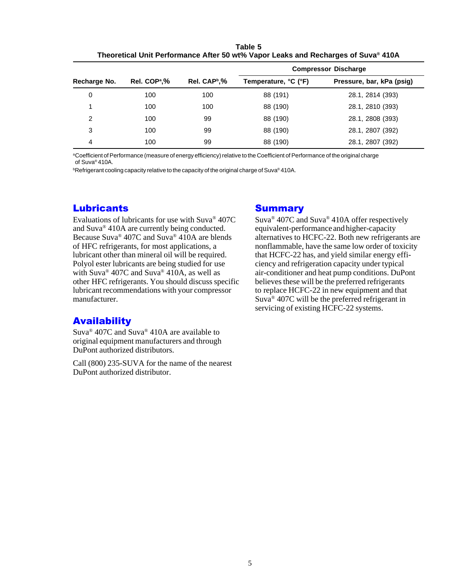| Table 5                                                                           |
|-----------------------------------------------------------------------------------|
| Theoretical Unit Performance After 50 wt% Vapor Leaks and Recharges of Suva® 410A |

|              |                          |                          | <b>Compressor Discharge</b> |                           |  |
|--------------|--------------------------|--------------------------|-----------------------------|---------------------------|--|
| Recharge No. | Rel. COP <sup>a</sup> ,% | Rel. CAP <sup>b</sup> ,% | Temperature, °C (°F)        | Pressure, bar, kPa (psig) |  |
| 0            | 100                      | 100                      | 88 (191)                    | 28.1, 2814 (393)          |  |
|              | 100                      | 100                      | 88 (190)                    | 28.1, 2810 (393)          |  |
| 2            | 100                      | 99                       | 88 (190)                    | 28.1, 2808 (393)          |  |
| 3            | 100                      | 99                       | 88 (190)                    | 28.1, 2807 (392)          |  |
| 4            | 100                      | 99                       | 88 (190)                    | 28.1, 2807 (392)          |  |

aCoefficient of Performance (measure of energy efficiency) relative to the Coefficient of Performance of the original charge of Suva® 410A.

 $^{\rm b}$ Refrigerant cooling capacity relative to the capacity of the original charge of Suva® 410A.

## **Lubricants**

Evaluations of lubricants for use with Suva® 407C and Suva® 410A are currently being conducted. Because Suva® 407C and Suva® 410A are blends of HFC refrigerants, for most applications, a lubricant other than mineral oil will be required. Polyol ester lubricants are being studied for use with Suva® 407C and Suva® 410A, as well as other HFC refrigerants. You should discuss specific lubricant recommendations with your compressor manufacturer.

## **Availability**

Suva® 407C and Suva® 410A are available to original equipment manufacturers and through DuPont authorized distributors.

Call (800) 235-SUVA for the name of the nearest DuPont authorized distributor.

#### **Summary**

Suva® 407C and Suva® 410A offer respectively equivalent-performance and higher-capacity alternatives to HCFC-22. Both new refrigerants are nonflammable, have the same low order of toxicity that HCFC-22 has, and yield similar energy efficiency and refrigeration capacity under typical air-conditioner and heat pump conditions. DuPont believes these will be the preferred refrigerants to replace HCFC-22 in new equipment and that Suva® 407C will be the preferred refrigerant in servicing of existing HCFC-22 systems.